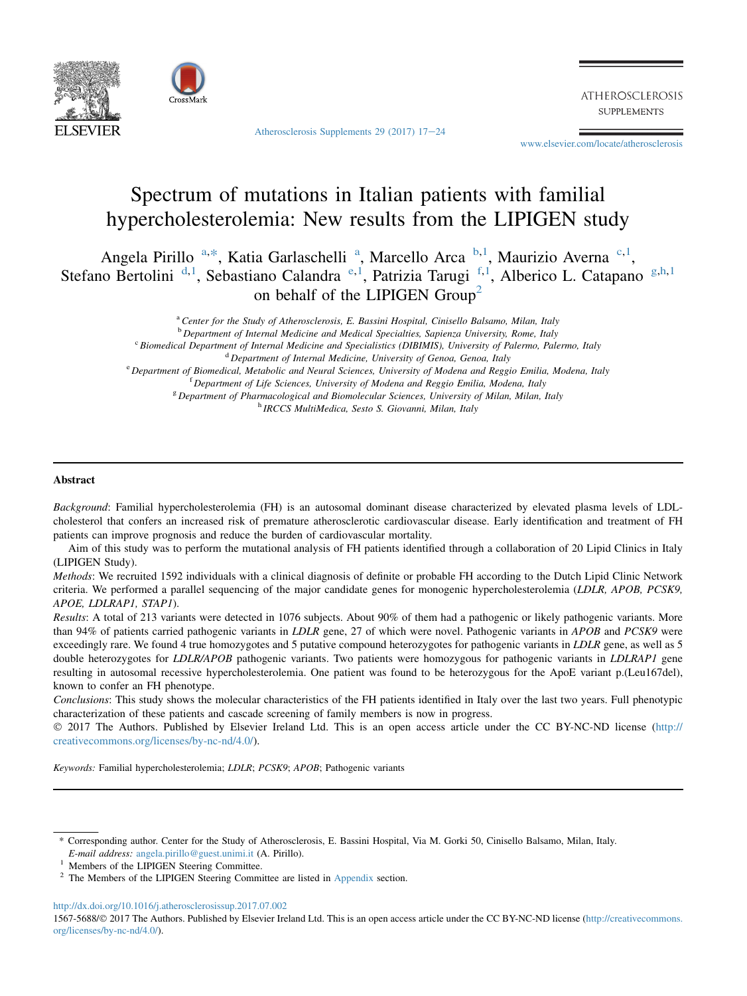



Atherosclerosis Supplements 29 (2017)  $17-24$  $17-24$ 

**ATHEROSCLEROSIS SUPPLEMENTS** 

[www.elsevier.com/locate/atherosclerosis](http://www.elsevier.com/locate/atherosclerosis)

# Spectrum of mutations in Italian patients with familial hypercholesterolemia: New results from the LIPIGEN study

Angela Pirillo <sup>a,\*</sup>, Katia Garlaschelli<sup>a</sup>, Marcello Arca<sup>b,1</sup>, Maurizio Averna<sup>c,1</sup>, Stefano Bertolini<sup>d, 1</sup>, Sebastiano Calandra<sup>e, 1</sup>, Patrizia Tarugi<sup>f, 1</sup>, Alberico L. Catapano<sup>g, h, 1</sup> on behalf of the LIPIGEN Group<sup>2</sup>

<sup>a</sup> Center for the Study of Atherosclerosis, E. Bassini Hospital, Cinisello Balsamo, Milan, Italy

<sup>b</sup> Department of Internal Medicine and Medical Specialties, Sapienza University, Rome, Italy

<sup>c</sup> Biomedical Department of Internal Medicine and Specialistics (DIBIMIS), University of Palermo, Palermo, Italy

 $d$  Department of Internal Medicine, University of Genoa, Genoa, Italy

<sup>e</sup> Department of Biomedical, Metabolic and Neural Sciences, University of Modena and Reggio Emilia, Modena, Italy

<sup>f</sup> Department of Life Sciences, University of Modena and Reggio Emilia, Modena, Italy

<sup>g</sup> Department of Pharmacological and Biomolecular Sciences, University of Milan, Milan, Italy

<sup>h</sup> IRCCS MultiMedica, Sesto S. Giovanni, Milan, Italy

#### **Abstract**

Background: Familial hypercholesterolemia (FH) is an autosomal dominant disease characterized by elevated plasma levels of LDLcholesterol that confers an increased risk of premature atherosclerotic cardiovascular disease. Early identification and treatment of FH patients can improve prognosis and reduce the burden of cardiovascular mortality.

Aim of this study was to perform the mutational analysis of FH patients identified through a collaboration of 20 Lipid Clinics in Italy (LIPIGEN Study).

Methods: We recruited 1592 individuals with a clinical diagnosis of definite or probable FH according to the Dutch Lipid Clinic Network criteria. We performed a parallel sequencing of the major candidate genes for monogenic hypercholesterolemia (LDLR, APOB, PCSK9, APOE, LDLRAP1, STAP1).

Results: A total of 213 variants were detected in 1076 subjects. About 90% of them had a pathogenic or likely pathogenic variants. More than 94% of patients carried pathogenic variants in LDLR gene, 27 of which were novel. Pathogenic variants in APOB and PCSK9 were exceedingly rare. We found 4 true homozygotes and 5 putative compound heterozygotes for pathogenic variants in LDLR gene, as well as 5 double heterozygotes for LDLR/APOB pathogenic variants. Two patients were homozygous for pathogenic variants in LDLRAP1 gene resulting in autosomal recessive hypercholesterolemia. One patient was found to be heterozygous for the ApoE variant p.(Leu167del), known to confer an FH phenotype.

Conclusions: This study shows the molecular characteristics of the FH patients identified in Italy over the last two years. Full phenotypic characterization of these patients and cascade screening of family members is now in progress.

 2017 The Authors. Published by Elsevier Ireland Ltd. This is an open access article under the CC BY-NC-ND license [\(http://](http://creativecommons.org/licenses/by-nc-nd/4.0/) [creativecommons.org/licenses/by-nc-nd/4.0/\)](http://creativecommons.org/licenses/by-nc-nd/4.0/).

Keywords: Familial hypercholesterolemia; LDLR; PCSK9; APOB; Pathogenic variants

<http://dx.doi.org/10.1016/j.atherosclerosissup.2017.07.002>

1567-5688/@ 2017 The Authors. Published by Elsevier Ireland Ltd. This is an open access article under the CC BY-NC-ND license [\(http://creativecommons.](http://creativecommons.org/licenses/by-nc-nd/4.0/) [org/licenses/by-nc-nd/4.0/\)](http://creativecommons.org/licenses/by-nc-nd/4.0/).

<sup>\*</sup> Corresponding author. Center for the Study of Atherosclerosis, E. Bassini Hospital, Via M. Gorki 50, Cinisello Balsamo, Milan, Italy.

E-mail address: [angela.pirillo@guest.unimi.it](mailto:angela.pirillo@guest.unimi.it) (A. Pirillo).<br><sup>1</sup> Members of the LIPIGEN Steering Committee.<br><sup>2</sup> The Members of the LIPIGEN Steering Committee are listed in [Appendix](#page-7-0) section.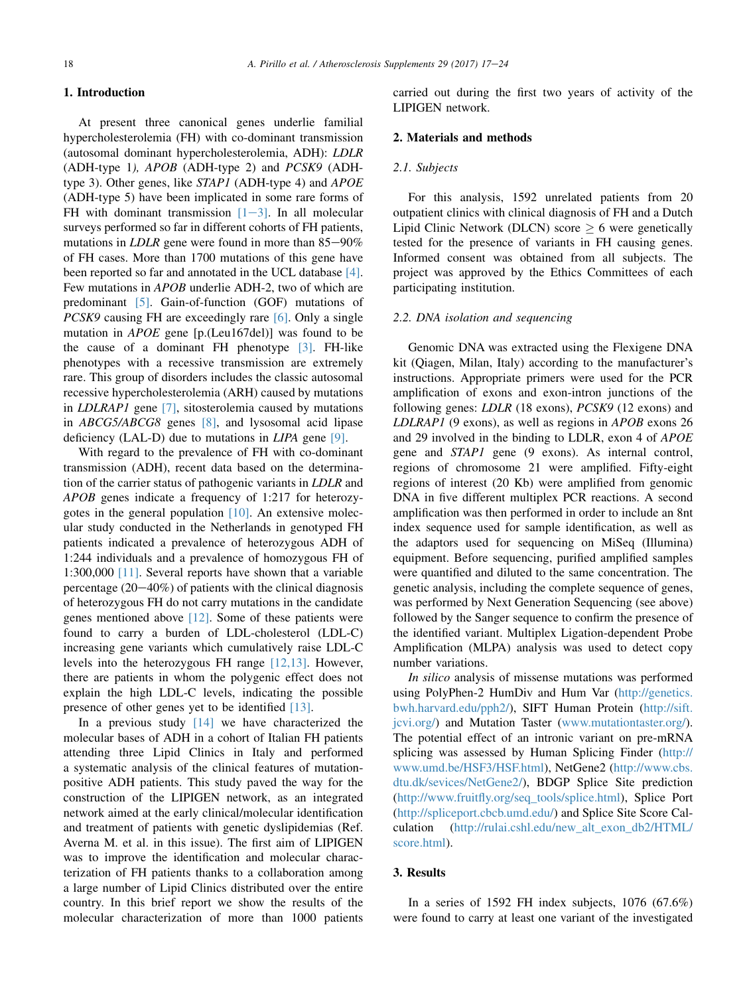# 1. Introduction

At present three canonical genes underlie familial hypercholesterolemia (FH) with co-dominant transmission (autosomal dominant hypercholesterolemia, ADH): LDLR (ADH-type 1), APOB (ADH-type 2) and PCSK9 (ADHtype 3). Other genes, like STAP1 (ADH-type 4) and APOE (ADH-type 5) have been implicated in some rare forms of FH with dominant transmission  $[1-3]$  $[1-3]$ . In all molecular surveys performed so far in different cohorts of FH patients, mutations in  $LDLR$  gene were found in more than  $85-90\%$ of FH cases. More than 1700 mutations of this gene have been reported so far and annotated in the UCL database [\[4\]](#page-7-0). Few mutations in APOB underlie ADH-2, two of which are predominant [\[5\]](#page-7-0). Gain-of-function (GOF) mutations of PCSK9 causing FH are exceedingly rare [\[6\].](#page-7-0) Only a single mutation in APOE gene [p.(Leu167del)] was found to be the cause of a dominant FH phenotype [\[3\]](#page-7-0). FH-like phenotypes with a recessive transmission are extremely rare. This group of disorders includes the classic autosomal recessive hypercholesterolemia (ARH) caused by mutations in LDLRAP1 gene [\[7\],](#page-7-0) sitosterolemia caused by mutations in ABCG5/ABCG8 genes [\[8\],](#page-7-0) and lysosomal acid lipase deficiency (LAL-D) due to mutations in  $LIPA$  gene [\[9\]](#page-7-0).

With regard to the prevalence of FH with co-dominant transmission (ADH), recent data based on the determination of the carrier status of pathogenic variants in LDLR and APOB genes indicate a frequency of 1:217 for heterozygotes in the general population  $[10]$ . An extensive molecular study conducted in the Netherlands in genotyped FH patients indicated a prevalence of heterozygous ADH of 1:244 individuals and a prevalence of homozygous FH of 1:300,000 [\[11\].](#page-7-0) Several reports have shown that a variable percentage  $(20-40\%)$  of patients with the clinical diagnosis of heterozygous FH do not carry mutations in the candidate genes mentioned above [\[12\].](#page-7-0) Some of these patients were found to carry a burden of LDL-cholesterol (LDL-C) increasing gene variants which cumulatively raise LDL-C levels into the heterozygous FH range [\[12,13\].](#page-7-0) However, there are patients in whom the polygenic effect does not explain the high LDL-C levels, indicating the possible presence of other genes yet to be identified [\[13\].](#page-7-0)

In a previous study [\[14\]](#page-7-0) we have characterized the molecular bases of ADH in a cohort of Italian FH patients attending three Lipid Clinics in Italy and performed a systematic analysis of the clinical features of mutationpositive ADH patients. This study paved the way for the construction of the LIPIGEN network, as an integrated network aimed at the early clinical/molecular identification and treatment of patients with genetic dyslipidemias (Ref. Averna M. et al. in this issue). The first aim of LIPIGEN was to improve the identification and molecular characterization of FH patients thanks to a collaboration among a large number of Lipid Clinics distributed over the entire country. In this brief report we show the results of the molecular characterization of more than 1000 patients

carried out during the first two years of activity of the LIPIGEN network.

#### 2. Materials and methods

## 2.1. Subjects

For this analysis, 1592 unrelated patients from 20 outpatient clinics with clinical diagnosis of FH and a Dutch Lipid Clinic Network (DLCN) score  $> 6$  were genetically tested for the presence of variants in FH causing genes. Informed consent was obtained from all subjects. The project was approved by the Ethics Committees of each participating institution.

#### 2.2. DNA isolation and sequencing

Genomic DNA was extracted using the Flexigene DNA kit (Qiagen, Milan, Italy) according to the manufacturer's instructions. Appropriate primers were used for the PCR amplification of exons and exon-intron junctions of the following genes: LDLR (18 exons), PCSK9 (12 exons) and LDLRAP1 (9 exons), as well as regions in APOB exons 26 and 29 involved in the binding to LDLR, exon 4 of APOE gene and STAP1 gene (9 exons). As internal control, regions of chromosome 21 were amplified. Fifty-eight regions of interest (20 Kb) were amplified from genomic DNA in five different multiplex PCR reactions. A second amplification was then performed in order to include an 8nt index sequence used for sample identification, as well as the adaptors used for sequencing on MiSeq (Illumina) equipment. Before sequencing, purified amplified samples were quantified and diluted to the same concentration. The genetic analysis, including the complete sequence of genes, was performed by Next Generation Sequencing (see above) followed by the Sanger sequence to confirm the presence of the identified variant. Multiplex Ligation-dependent Probe Amplification (MLPA) analysis was used to detect copy number variations.

In silico analysis of missense mutations was performed using PolyPhen-2 HumDiv and Hum Var [\(http://genetics.](http://genetics.bwh.harvard.edu/pph2/) [bwh.harvard.edu/pph2/](http://genetics.bwh.harvard.edu/pph2/)), SIFT Human Protein [\(http://sift.](http://sift.jcvi.org/) [jcvi.org/](http://sift.jcvi.org/)) and Mutation Taster [\(www.mutationtaster.org/\)](http://www.mutationtaster.org/). The potential effect of an intronic variant on pre-mRNA splicing was assessed by Human Splicing Finder ([http://](http://www.umd.be/HSF3/HSF.html) [www.umd.be/HSF3/HSF.html\)](http://www.umd.be/HSF3/HSF.html), NetGene2 ([http://www.cbs.](http://www.cbs.dtu.dk/sevices/NetGene2/) [dtu.dk/sevices/NetGene2/\)](http://www.cbs.dtu.dk/sevices/NetGene2/), BDGP Splice Site prediction ([http://www.fruitfly.org/seq\\_tools/splice.html\)](http://www.fruitfly.org/seq_tools/splice.html), Splice Port ([http://spliceport.cbcb.umd.edu/\)](http://spliceport.cbcb.umd.edu/) and Splice Site Score Calculation [\(http://rulai.cshl.edu/new\\_alt\\_exon\\_db2/HTML/](http://rulai.cshl.edu/new_alt_exon_db2/HTML/score.html) [score.html\)](http://rulai.cshl.edu/new_alt_exon_db2/HTML/score.html).

#### 3. Results

In a series of 1592 FH index subjects,  $1076$  (67.6%) were found to carry at least one variant of the investigated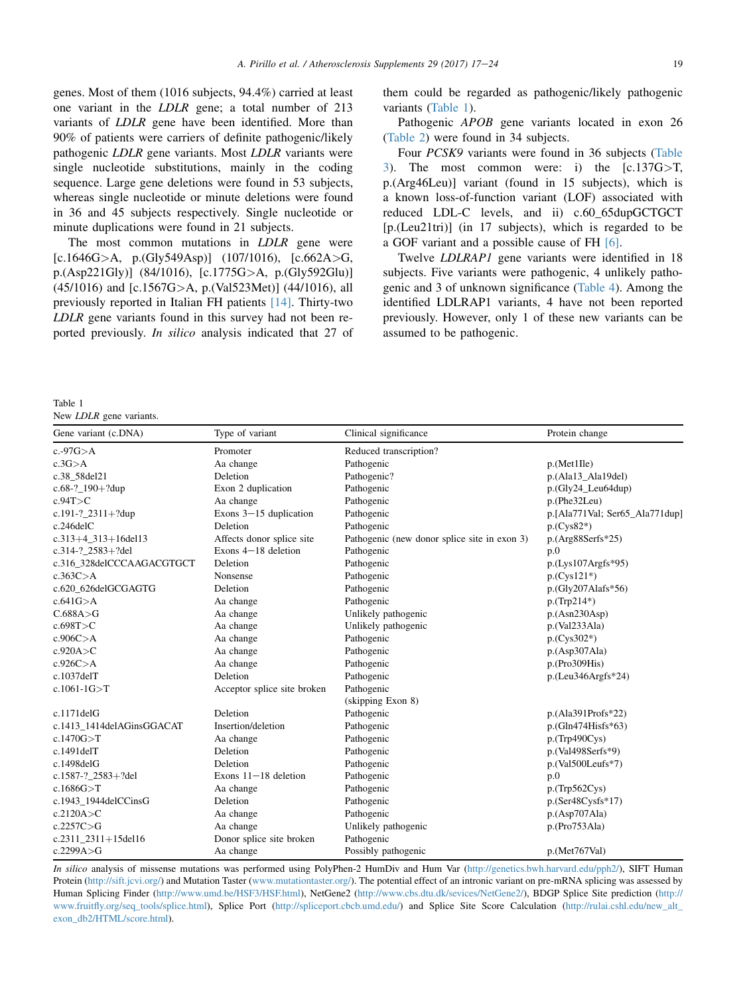genes. Most of them (1016 subjects, 94.4%) carried at least one variant in the LDLR gene; a total number of 213 variants of LDLR gene have been identified. More than 90% of patients were carriers of definite pathogenic/likely pathogenic LDLR gene variants. Most LDLR variants were single nucleotide substitutions, mainly in the coding sequence. Large gene deletions were found in 53 subjects, whereas single nucleotide or minute deletions were found in 36 and 45 subjects respectively. Single nucleotide or minute duplications were found in 21 subjects.

The most common mutations in LDLR gene were [c.1646G>A, p.(Gly549Asp)] (107/1016), [c.662A>G, p.(Asp221Gly)] (84/1016), [c.1775G>A, p.(Gly592Glu)] (45/1016) and [c.1567G>A, p.(Val523Met)] (44/1016), all previously reported in Italian FH patients [\[14\]](#page-7-0). Thirty-two LDLR gene variants found in this survey had not been reported previously. In silico analysis indicated that 27 of them could be regarded as pathogenic/likely pathogenic variants (Table 1).

Pathogenic APOB gene variants located in exon 26 ([Table 2](#page-3-0)) were found in 34 subjects.

Four PCSK9 variants were found in 36 subjects [\(Table](#page-3-0) [3\)](#page-3-0). The most common were: i) the [c.137G>T, p.(Arg46Leu)] variant (found in 15 subjects), which is a known loss-of-function variant (LOF) associated with reduced LDL-C levels, and ii) c.60\_65dupGCTGCT [p.(Leu21tri)] (in 17 subjects), which is regarded to be a GOF variant and a possible cause of FH [\[6\].](#page-7-0)

Twelve LDLRAP1 gene variants were identified in 18 subjects. Five variants were pathogenic, 4 unlikely pathogenic and 3 of unknown significance ([Table 4\)](#page-3-0). Among the identified LDLRAP1 variants, 4 have not been reported previously. However, only 1 of these new variants can be assumed to be pathogenic.

Table 1

New *LDLR* gene variants.

| Gene variant (c.DNA)      | Type of variant             | Clinical significance                        | Protein change                     |
|---------------------------|-----------------------------|----------------------------------------------|------------------------------------|
| c.-97 $G > A$             | Promoter                    | Reduced transcription?                       |                                    |
| $c.3G$ $>A$               | Aa change                   | Pathogenic                                   | p.(Met1Ile)                        |
| c.38_58del21              | Deletion                    | Pathogenic?                                  | p.(Ala13_Ala19del)                 |
| c.68-? $190 + ?$ dup      | Exon 2 duplication          | Pathogenic                                   | $p(Gly24 \text{Leu}64 \text{dup})$ |
| c.94T>C                   | Aa change                   | Pathogenic                                   | p.(Phe32Leu)                       |
| c.191-?_2311+?dup         | Exons $3-15$ duplication    | Pathogenic                                   | p.[Ala771Val; Ser65_Ala771dup]     |
| $c.246$ del $C$           | Deletion                    | Pathogenic                                   | $p(Cys82*)$                        |
| $c.313 + 4$ 313 + 16del13 | Affects donor splice site   | Pathogenic (new donor splice site in exon 3) | $p.(Arg88Serfs*25)$                |
| $c.314 - ?$ 2583+?del     | Exons $4-18$ deletion       | Pathogenic                                   | p.0                                |
| c.316_328delCCCAAGACGTGCT | Deletion                    | Pathogenic                                   | $p.(Lys107Argfs*95)$               |
| c.363C > A                | Nonsense                    | Pathogenic                                   | $p(Cys121*)$                       |
| c.620_626delGCGAGTG       | Deletion                    | Pathogenic                                   | p.(Gly207Alafs*56)                 |
| c.641G > A                | Aa change                   | Pathogenic                                   | $p(Trp214*)$                       |
| C.688A > G                | Aa change                   | Unlikely pathogenic                          | p.(Asn230Asp)                      |
| c.698T>C                  | Aa change                   | Unlikely pathogenic                          | p.(Val233Ala)                      |
| c.906C > A                | Aa change                   | Pathogenic                                   | $p(Cys302*)$                       |
| c.920A > C                | Aa change                   | Pathogenic                                   | p.(Asp307Ala)                      |
| c.926C > A                | Aa change                   | Pathogenic                                   | p.(Pro309His)                      |
| $c.1037$ del $T$          | Deletion                    | Pathogenic                                   | $p.(Leu346Argfs*24)$               |
| $c.1061-1G > T$           | Acceptor splice site broken | Pathogenic                                   |                                    |
|                           |                             | (skipping Exon 8)                            |                                    |
| $c.1171$ del $G$          | Deletion                    | Pathogenic                                   | $p.(Ala391Profs*22)$               |
| c.1413_1414delAGinsGGACAT | Insertion/deletion          | Pathogenic                                   | $p$ .(Gln474Hisfs*63)              |
| c.1470G > T               | Aa change                   | Pathogenic                                   | p.(Trp490Cys)                      |
| $c.1491$ del $T$          | Deletion                    | Pathogenic                                   | $p.(Val498Serfs*9)$                |
| c.1498delG                | Deletion                    | Pathogenic                                   | $p.(Val500Leufs*7)$                |
| c.1587-?_2583+?del        | Exons $11-18$ deletion      | Pathogenic                                   | p.0                                |
| c.1686G > T               | Aa change                   | Pathogenic                                   | p.(Trp562Cys)                      |
| c.1943_1944delCCinsG      | Deletion                    | Pathogenic                                   | $p.(Ser48Cysfs*17)$                |
| c.2120A > C               | Aa change                   | Pathogenic                                   | p.(Asp707Ala)                      |
| c.2257C > G               | Aa change                   | Unlikely pathogenic                          | p.(Pro753Ala)                      |
| c.2311 $2311+15$ del16    | Donor splice site broken    | Pathogenic                                   |                                    |
| c.2299A > G               | Aa change                   | Possibly pathogenic                          | p.(Met767Val)                      |

In silico analysis of missense mutations was performed using PolyPhen-2 HumDiv and Hum Var ([http://genetics.bwh.harvard.edu/pph2/\)](http://genetics.bwh.harvard.edu/pph2/), SIFT Human Protein [\(http://sift.jcvi.org/](http://sift.jcvi.org/)) and Mutation Taster [\(www.mutationtaster.org/\)](http://www.mutationtaster.org/). The potential effect of an intronic variant on pre-mRNA splicing was assessed by Human Splicing Finder ([http://www.umd.be/HSF3/HSF.html\)](http://www.umd.be/HSF3/HSF.html), NetGene2 [\(http://www.cbs.dtu.dk/sevices/NetGene2/\)](http://www.cbs.dtu.dk/sevices/NetGene2/), BDGP Splice Site prediction [\(http://](http://www.fruitfly.org/seq_tools/splice.html) [www.fruitfly.org/seq\\_tools/splice.html](http://www.fruitfly.org/seq_tools/splice.html)), Splice Port ([http://spliceport.cbcb.umd.edu/\)](http://spliceport.cbcb.umd.edu/) and Splice Site Score Calculation [\(http://rulai.cshl.edu/new\\_alt\\_](http://rulai.cshl.edu/new_alt_exon_db2/HTML/score.html) [exon\\_db2/HTML/score.html](http://rulai.cshl.edu/new_alt_exon_db2/HTML/score.html)).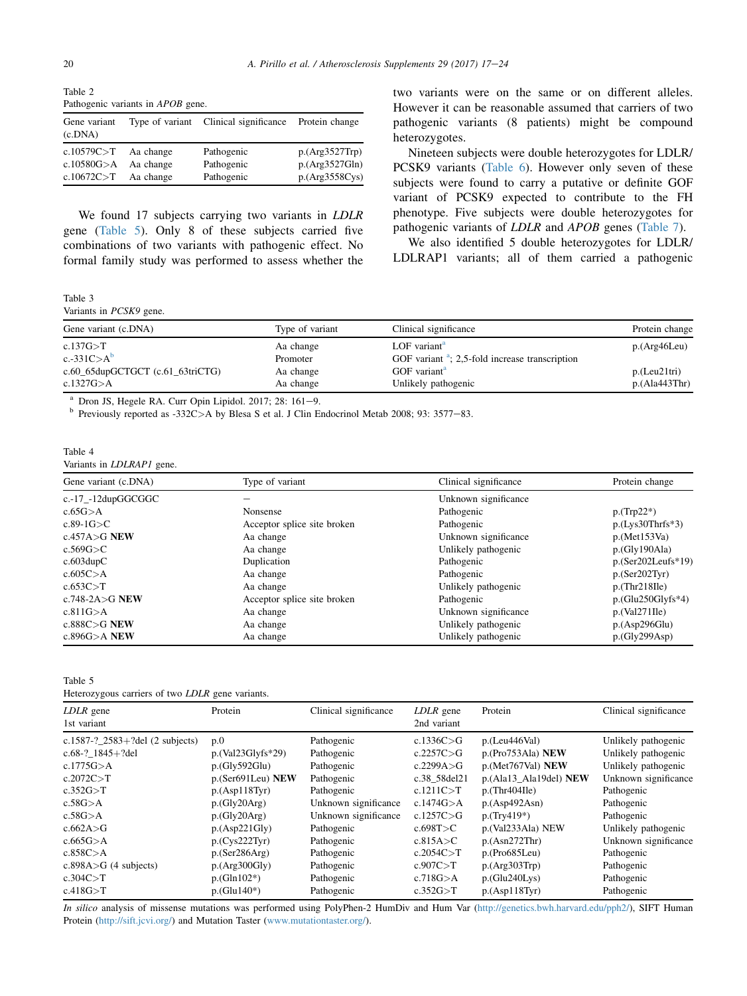<span id="page-3-0"></span>Table 2 Pathogenic variants in APOB gene.

| Gene variant<br>(c.DNA) |           | Type of variant Clinical significance Protein change |                |
|-------------------------|-----------|------------------------------------------------------|----------------|
| c.10579 $C>T$ Aa change |           | Pathogenic                                           | p.(Arg3527Trp) |
| c.10580G $> A$          | Aa change | Pathogenic                                           | p.(Arg3527Gln) |
| c.10672C $>$ T          | Aa change | Pathogenic                                           | p.(Arg3558Cys) |

We found 17 subjects carrying two variants in LDLR gene (Table 5). Only 8 of these subjects carried five combinations of two variants with pathogenic effect. No formal family study was performed to assess whether the

Table 3

Variants in PCSK9 gene.

| Type of variant | Clinical significance                             | Protein change |  |  |
|-----------------|---------------------------------------------------|----------------|--|--|
| Aa change       | LOF variant <sup>a</sup>                          | p.(Arg46Leu)   |  |  |
| Promoter        | GOF variant $a$ ; 2,5-fold increase transcription |                |  |  |
| Aa change       | GOF variant <sup>a</sup>                          | p.(Leu21tri)   |  |  |
| Aa change       | Unlikely pathogenic                               | p.(Ala443Thr)  |  |  |
|                 |                                                   |                |  |  |

<sup>a</sup> Dron JS, Hegele RA. Curr Opin Lipidol. 2017; 28: 161–9.<br><sup>b</sup> Previously reported as -332C>A by Blesa S et al. J Clin Endocrinol Metab 2008; 93: 3577–83.

#### Table 4 Variants in LDLRAP1 gene.

| Gene variant (c.DNA)<br>Type of variant<br>c.-17_-12dupGGCGGC |                             | Clinical significance | Protein change       |  |
|---------------------------------------------------------------|-----------------------------|-----------------------|----------------------|--|
|                                                               |                             | Unknown significance  |                      |  |
| $c.65G$ $> A$                                                 | Nonsense                    | Pathogenic            | $p(Trp22*)$          |  |
| $c.89-1G > C$                                                 | Acceptor splice site broken | Pathogenic            | $p.(Lys30Thrfs*3)$   |  |
| c.457A $>$ G NEW                                              | Aa change                   | Unknown significance  | p.(Met153Va)         |  |
| c.569G>C                                                      | Aa change                   | Unlikely pathogenic   | p(Gly190Ala)         |  |
| $c.603$ dupC                                                  | Duplication                 | Pathogenic            | $p.(Ser202Leufs*19)$ |  |
| c.605C > A                                                    | Aa change                   | Pathogenic            | p.(Ser202Tyr)        |  |
| c.653C > T                                                    | Aa change                   | Unlikely pathogenic   | p.(Thr218Ile)        |  |
| c.748-2A $>$ G NEW                                            | Acceptor splice site broken | Pathogenic            | $p.(Glu250Glyfs*4)$  |  |
| c.811G > A                                                    | Aa change                   | Unknown significance  | p.(Val271IIe)        |  |
| c.888C $>$ G NEW                                              | Aa change                   | Unlikely pathogenic   | p.(Asp296Glu)        |  |
| c.896G $>$ A NEW                                              | Aa change                   | Unlikely pathogenic   | p(Gly299Asp)         |  |

Table 5

Heterozygous carriers of two LDLR gene variants.

| LDLR gene<br>1st variant                                  | Protein                    | Clinical significance    | LDLR gene<br>2nd variant     | Protein                            | Clinical significance                      |
|-----------------------------------------------------------|----------------------------|--------------------------|------------------------------|------------------------------------|--------------------------------------------|
| c.1587-? $2583+$ ?del (2 subjects)<br>c.68-? $1845+?$ del | p.0<br>$p.(Val23Glyfs*29)$ | Pathogenic               | c.1336C $>$ G<br>c.2257C > G | p.(Leu446Val)<br>p.(Pro753Ala) NEW | Unlikely pathogenic                        |
| c.1775 $G > A$                                            | p(Gly592Glu)               | Pathogenic<br>Pathogenic | c.2299A $>$ G                | p.(Met767Val) NEW                  | Unlikely pathogenic<br>Unlikely pathogenic |
| c.2072C > T                                               | p.(Ser691Leu) NEW          | Pathogenic               | c.38 58del21                 | p.(Ala13_Ala19del) NEW             | Unknown significance                       |
| c.352G > T                                                | p.(Asp118Tvr)              | Pathogenic               | c.1211C > T                  | p(Thr404Ile)                       | Pathogenic                                 |
| $c.58G$ $>A$                                              | p(Gly20Arg)                | Unknown significance     | c.1474 $G$ >A                | p.(Asp492Asn)                      | Pathogenic                                 |
| $c.58G$ $>A$                                              | p(Gly20Arg)                | Unknown significance     | c.1257C $>$ G                | $p(Try419*)$                       | Pathogenic                                 |
| c.662A $>$ G                                              | p.(Asp221Gly)              | Pathogenic               | c.698T>C                     | p.(Val233Ala) NEW                  | Unlikely pathogenic                        |
| $c.665G$ $>$ A                                            | p(Cys222Tyr)               | Pathogenic               | c.815A > C                   | p.(Asn272Thr)                      | Unknown significance                       |
| c.858C > A                                                | p(Ser286Arg)               | Pathogenic               | c.2054C > T                  | p.(Pro685Leu)                      | Pathogenic                                 |
| $c.898A > G$ (4 subjects)                                 | p.(Arg300Gly)              | Pathogenic               | c.907C > T                   | p.(Arg303Trp)                      | Pathogenic                                 |
| c.304C > T                                                | $p.(Gln102*)$              | Pathogenic               | c.718G > A                   | p.(Glu240Lys)                      | Pathogenic                                 |
| c.418G > T                                                | $p.(Glu140*)$              | Pathogenic               | c.352G > T                   | p.(Asp118Tyr)                      | Pathogenic                                 |

In silico analysis of missense mutations was performed using PolyPhen-2 HumDiv and Hum Var ([http://genetics.bwh.harvard.edu/pph2/\)](http://genetics.bwh.harvard.edu/pph2/), SIFT Human Protein ([http://sift.jcvi.org/\)](http://sift.jcvi.org/) and Mutation Taster [\(www.mutationtaster.org/\)](http://www.mutationtaster.org/).

two variants were on the same or on different alleles. However it can be reasonable assumed that carriers of two pathogenic variants (8 patients) might be compound heterozygotes.

Nineteen subjects were double heterozygotes for LDLR/ PCSK9 variants [\(Table 6](#page-4-0)). However only seven of these subjects were found to carry a putative or definite GOF variant of PCSK9 expected to contribute to the FH phenotype. Five subjects were double heterozygotes for pathogenic variants of LDLR and APOB genes [\(Table 7\)](#page-4-0).

We also identified 5 double heterozygotes for LDLR/ LDLRAP1 variants; all of them carried a pathogenic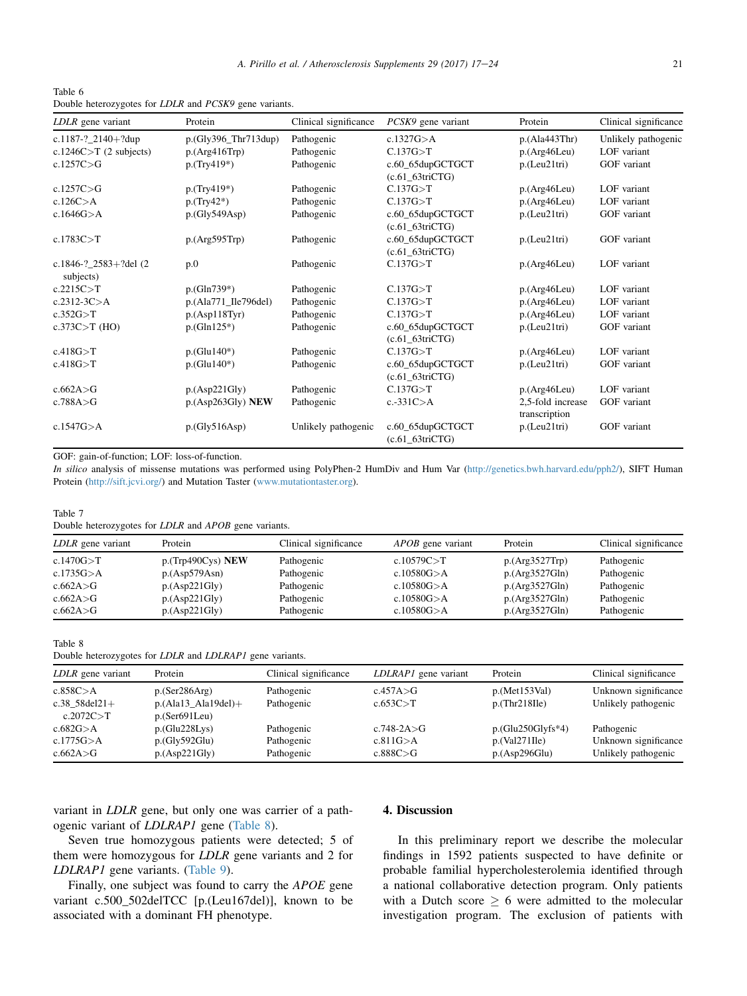<span id="page-4-0"></span>Table 6 Double heterozygotes for LDLR and PCSK9 gene variants.

| LDLR gene variant                     | Protein                  | Clinical significance | PCSK9 gene variant                    | Protein           | Clinical significance |
|---------------------------------------|--------------------------|-----------------------|---------------------------------------|-------------------|-----------------------|
| c.1187-?_2140+?dup                    | $p.(Gly396_{Thr}713dup)$ | Pathogenic            | c.1327G $> A$                         | p.(Ala443Thr)     | Unlikely pathogenic   |
| c.1246C $>$ T (2 subjects)            | p.(Arg416Trp)            | Pathogenic            | C.137G > T                            | p.(Arg46Leu)      | LOF variant           |
| c.1257C > G                           | $p(Try419*)$             | Pathogenic            | c.60_65dupGCTGCT                      | p.(Leu21tri)      | GOF variant           |
|                                       |                          |                       | $(c.61_63triCTG)$                     |                   |                       |
| c.1257 $C > G$                        | $p(Try419*)$             | Pathogenic            | C.137G > T                            | p.(Arg46Leu)      | LOF variant           |
| c.126C > A                            | $p(Try42*)$              | Pathogenic            | C.137G > T                            | p.(Arg46Leu)      | LOF variant           |
| c.1646G > A                           | p(Gly549Asp)             | Pathogenic            | c.60_65dupGCTGCT                      | p.(Leu21tri)      | GOF variant           |
|                                       |                          |                       | $(c.61_63triCTG)$                     |                   |                       |
| c.1783C > T                           | p.(Arg595Trp)            | Pathogenic            | c.60_65dupGCTGCT                      | p.(Leu21tri)      | GOF variant           |
|                                       |                          |                       | $(c.61_63triCTG)$                     |                   |                       |
| c.1846-? $2583+$ ?del (2<br>subjects) | p.0                      | Pathogenic            | C.137G > T                            | p.(Arg46Leu)      | LOF variant           |
| c.2215C > T                           | $p.(Gln739*)$            | Pathogenic            | C.137G > T                            | p.(Arg46Leu)      | LOF variant           |
| $c.2312 - 3C > A$                     | p.(Ala771_Ile796del)     | Pathogenic            | C.137G > T                            | p.(Arg46Leu)      | LOF variant           |
| c.352G > T                            | p.(Asp118Tyr)            | Pathogenic            | C.137G > T                            | p.(Arg46Leu)      | LOF variant           |
| $c.373C > T$ (HO)                     | $p.(Gln125*)$            | Pathogenic            | c.60_65dupGCTGCT                      | p.(Leu21tri)      | GOF variant           |
|                                       |                          |                       | $(c.61_63triCTG)$                     |                   |                       |
| c.418G > T                            | $p.(Glu140*)$            | Pathogenic            | C.137G > T                            | p.(Arg46Leu)      | LOF variant           |
| c.418G > T                            | $p.(Glu140*)$            | Pathogenic            | c.60_65dupGCTGCT                      | p.(Leu21tri)      | GOF variant           |
|                                       |                          |                       | $(c.61_63triCTG)$                     |                   |                       |
| c.662A > G                            | p.(Asp221Gly)            | Pathogenic            | C.137G > T                            | p.(Arg46Leu)      | LOF variant           |
| c.788A $>$ G                          | p.(Asp263Gly) <b>NEW</b> | Pathogenic            | $c.-331C>A$                           | 2,5-fold increase | GOF variant           |
|                                       |                          |                       |                                       | transcription     |                       |
| c.1547G > A                           | p(Gly516Asp)             | Unlikely pathogenic   | c.60_65dupGCTGCT<br>$(c.61_63triCTG)$ | p.(Leu21tri)      | GOF variant           |

GOF: gain-of-function; LOF: loss-of-function.

In silico analysis of missense mutations was performed using PolyPhen-2 HumDiv and Hum Var ([http://genetics.bwh.harvard.edu/pph2/\)](http://genetics.bwh.harvard.edu/pph2/), SIFT Human Protein ([http://sift.jcvi.org/\)](http://sift.jcvi.org/) and Mutation Taster ([www.mutationtaster.org](http://www.mutationtaster.org)).

#### Table 7

Double heterozygotes for LDLR and APOB gene variants.

| LDLR gene variant | Protein              | Clinical significance | <i>APOB</i> gene variant | Protein        | Clinical significance |
|-------------------|----------------------|-----------------------|--------------------------|----------------|-----------------------|
| c.1470 $G > T$    | $p$ .(Trp490Cys) NEW | Pathogenic            | c.10579C $>$ T           | p.(Arg3527Trp) | Pathogenic            |
| c.1735 $G > A$    | p.(Asp579Asn)        | Pathogenic            | c.10580G $> A$           | p.(Arg3527Gln) | Pathogenic            |
| c.662A > G        | p.(Asp221Gly)        | Pathogenic            | c.10580G $> A$           | p.(Arg3527Gln) | Pathogenic            |
| c.662A > G        | p.(Asp221Gly)        | Pathogenic            | c.10580G $> A$           | p.(Arg3527Gln) | Pathogenic            |
| c.662A > G        | p.(Asp221Gly)        | Pathogenic            | c.10580G $> A$           | p.(Arg3527Gln) | Pathogenic            |

#### Table 8

Double heterozygotes for LDLR and LDLRAP1 gene variants.

| LDLR gene variant | Protein                | Clinical significance | LDLRAP1 gene variant | Protein             | Clinical significance |
|-------------------|------------------------|-----------------------|----------------------|---------------------|-----------------------|
| c.858C > A        | p(Ser286Arg)           | Pathogenic            | c.457A > G           | p.(Met153Val)       | Unknown significance  |
| c.38 $58$ del21+  | $p.(Ala13_Ala19del) +$ | Pathogenic            | c.653C > T           | $p(Thr218$ lle)     | Unlikely pathogenic   |
| c.2072C > T       | p(Ser691Leu)           |                       |                      |                     |                       |
| c.682G > A        | p.(Glu228Lys)          | Pathogenic            | $c.748 - 2A > G$     | $p.(Glu250Glyfs*4)$ | Pathogenic            |
| c.1775 $G > A$    | p(Gly592Glu)           | Pathogenic            | c.811G > A           | p.(Val271Ile)       | Unknown significance  |
| c.662A $>$ G      | p.(Asp221Gly)          | Pathogenic            | c.888C > G           | p.(Asp296Glu)       | Unlikely pathogenic   |

variant in LDLR gene, but only one was carrier of a pathogenic variant of LDLRAP1 gene (Table 8).

Seven true homozygous patients were detected; 5 of them were homozygous for LDLR gene variants and 2 for LDLRAP1 gene variants. [\(Table 9\)](#page-5-0).

Finally, one subject was found to carry the APOE gene variant c.500\_502delTCC [p.(Leu167del)], known to be associated with a dominant FH phenotype.

## 4. Discussion

In this preliminary report we describe the molecular findings in 1592 patients suspected to have definite or probable familial hypercholesterolemia identified through a national collaborative detection program. Only patients with a Dutch score  $\geq 6$  were admitted to the molecular investigation program. The exclusion of patients with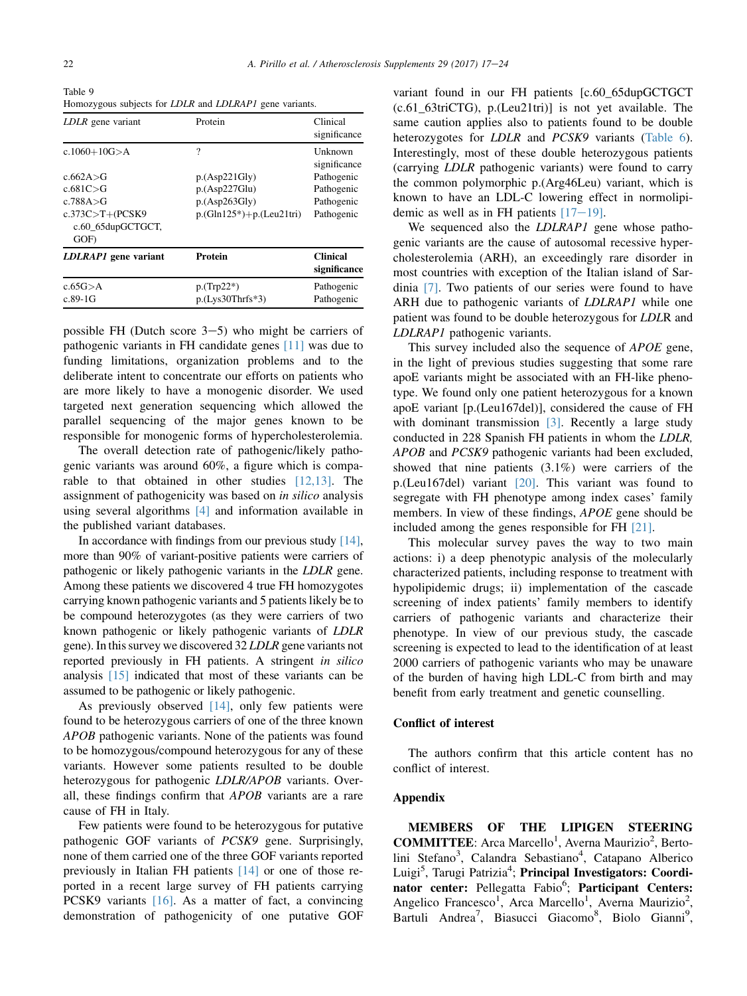<span id="page-5-0"></span>Table 9 Homozygous subjects for LDLR and LDLRAP1 gene variants.

| LDLR gene variant                                                                                                       | Protein                                                                              | Clinical<br>significance                                                        |
|-------------------------------------------------------------------------------------------------------------------------|--------------------------------------------------------------------------------------|---------------------------------------------------------------------------------|
| $c.1060 + 10G > A$<br>c.662A $>$ G<br>c.681C > G<br>c.788 $A > G$<br>$c.373C > T + (PCSK9$<br>c.60 65dupGCTGCT,<br>GOF) | ?<br>p.(Asp221Gly)<br>p.(Asp227Glu)<br>p.(Asp263Gly)<br>$p.(Gln125*) + p.(Leu21tri)$ | Unknown<br>significance<br>Pathogenic<br>Pathogenic<br>Pathogenic<br>Pathogenic |
| LDLRAP1 gene variant                                                                                                    | <b>Protein</b>                                                                       | <b>Clinical</b><br>significance                                                 |
| $c.65G$ $> A$<br>$c.89-1G$                                                                                              | $p(Trp22*)$<br>$p.(Lvs30Thrfs*3)$                                                    | Pathogenic<br>Pathogenic                                                        |

possible FH (Dutch score  $3-5$ ) who might be carriers of pathogenic variants in FH candidate genes [\[11\]](#page-7-0) was due to funding limitations, organization problems and to the deliberate intent to concentrate our efforts on patients who are more likely to have a monogenic disorder. We used targeted next generation sequencing which allowed the parallel sequencing of the major genes known to be responsible for monogenic forms of hypercholesterolemia.

The overall detection rate of pathogenic/likely pathogenic variants was around 60%, a figure which is comparable to that obtained in other studies [\[12,13\]](#page-7-0). The assignment of pathogenicity was based on in silico analysis using several algorithms [\[4\]](#page-7-0) and information available in the published variant databases.

In accordance with findings from our previous study  $[14]$ , more than 90% of variant-positive patients were carriers of pathogenic or likely pathogenic variants in the LDLR gene. Among these patients we discovered 4 true FH homozygotes carrying known pathogenic variants and 5 patients likely be to be compound heterozygotes (as they were carriers of two known pathogenic or likely pathogenic variants of LDLR gene). In this survey we discovered 32 LDLR gene variants not reported previously in FH patients. A stringent in silico analysis [\[15\]](#page-7-0) indicated that most of these variants can be assumed to be pathogenic or likely pathogenic.

As previously observed [\[14\],](#page-7-0) only few patients were found to be heterozygous carriers of one of the three known APOB pathogenic variants. None of the patients was found to be homozygous/compound heterozygous for any of these variants. However some patients resulted to be double heterozygous for pathogenic LDLR/APOB variants. Overall, these findings confirm that APOB variants are a rare cause of FH in Italy.

Few patients were found to be heterozygous for putative pathogenic GOF variants of PCSK9 gene. Surprisingly, none of them carried one of the three GOF variants reported previously in Italian FH patients [\[14\]](#page-7-0) or one of those reported in a recent large survey of FH patients carrying PCSK9 variants [\[16\]](#page-7-0). As a matter of fact, a convincing demonstration of pathogenicity of one putative GOF variant found in our FH patients [c.60\_65dupGCTGCT (c.61\_63triCTG), p.(Leu21tri)] is not yet available. The same caution applies also to patients found to be double heterozygotes for *LDLR* and *PCSK9* variants ([Table 6\)](#page-4-0). Interestingly, most of these double heterozygous patients (carrying LDLR pathogenic variants) were found to carry the common polymorphic p.(Arg46Leu) variant, which is known to have an LDL-C lowering effect in normolipidemic as well as in FH patients  $[17-19]$  $[17-19]$  $[17-19]$ .

We sequenced also the *LDLRAP1* gene whose pathogenic variants are the cause of autosomal recessive hypercholesterolemia (ARH), an exceedingly rare disorder in most countries with exception of the Italian island of Sardinia [\[7\].](#page-7-0) Two patients of our series were found to have ARH due to pathogenic variants of *LDLRAP1* while one patient was found to be double heterozygous for LDLR and LDLRAP1 pathogenic variants.

This survey included also the sequence of *APOE* gene, in the light of previous studies suggesting that some rare apoE variants might be associated with an FH-like phenotype. We found only one patient heterozygous for a known apoE variant [p.(Leu167del)], considered the cause of FH with dominant transmission [\[3\]](#page-7-0). Recently a large study conducted in 228 Spanish FH patients in whom the LDLR, APOB and PCSK9 pathogenic variants had been excluded, showed that nine patients (3.1%) were carriers of the p.(Leu167del) variant [\[20\]](#page-7-0). This variant was found to segregate with FH phenotype among index cases' family members. In view of these findings, APOE gene should be included among the genes responsible for FH [\[21\]](#page-7-0).

This molecular survey paves the way to two main actions: i) a deep phenotypic analysis of the molecularly characterized patients, including response to treatment with hypolipidemic drugs; ii) implementation of the cascade screening of index patients' family members to identify carriers of pathogenic variants and characterize their phenotype. In view of our previous study, the cascade screening is expected to lead to the identification of at least 2000 carriers of pathogenic variants who may be unaware of the burden of having high LDL-C from birth and may benefit from early treatment and genetic counselling.

#### Conflict of interest

The authors confirm that this article content has no conflict of interest.

## Appendix

MEMBERS OF THE LIPIGEN STEERING COMMITTEE: Arca Marcello<sup>1</sup>, Averna Maurizio<sup>2</sup>, Bertolini Stefano<sup>3</sup>, Calandra Sebastiano<sup>4</sup>, Catapano Alberico Luigi<sup>5</sup>, Tarugi Patrizia<sup>4</sup>; Principal Investigators: Coordinator center: Pellegatta Fabio<sup>6</sup>; Participant Centers: Angelico Francesco<sup>1</sup>, Arca Marcello<sup>1</sup>, Averna Maurizio<sup>2</sup>, Bartuli Andrea<sup>7</sup>, Biasucci Giacomo<sup>8</sup>, Biolo Gianni<sup>9</sup>,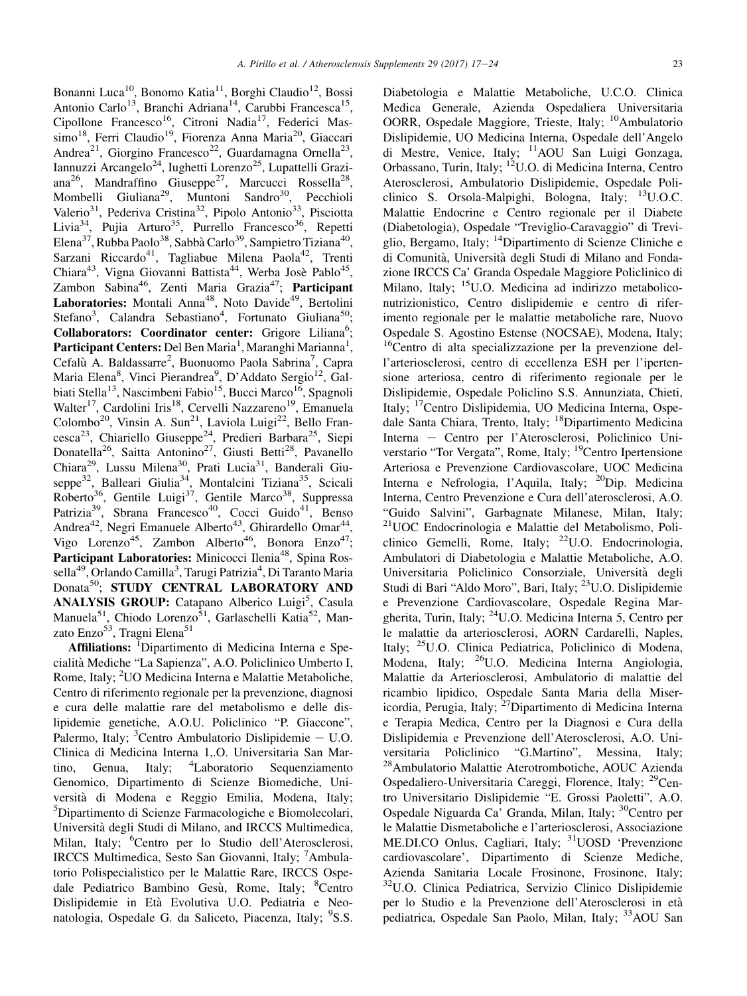Bonanni Luca<sup>10</sup>, Bonomo Katia<sup>11</sup>, Borghi Claudio<sup>12</sup>, Bossi Antonio Carlo<sup>13</sup>, Branchi Adriana<sup>14</sup>, Carubbi Francesca<sup>15</sup>, Cipollone Francesco<sup>16</sup>, Citroni Nadia<sup>17</sup>, Federici Massimo<sup>18</sup>, Ferri Claudio<sup>19</sup>, Fiorenza Anna Maria<sup>20</sup>, Giaccari Andrea<sup>21</sup>, Giorgino Francesco<sup>22</sup>, Guardamagna Ornella<sup>23</sup>, Iannuzzi Arcangelo<sup>24</sup>, Iughetti Lorenzo<sup>25</sup>, Lupattelli Graziana<sup>26</sup>, Mandraffino Giuseppe<sup>27</sup>, Marcucci Rossella<sup>28</sup>, Mombelli Giuliana<sup>29</sup>, Muntoni Sandro<sup>30</sup>, Pecchioli Valerio<sup>31</sup>, Pederiva Cristina<sup>32</sup>, Pipolo Antonio<sup>33</sup>, Pisciotta Livia<sup>34</sup>, Pujia Arturo<sup>35</sup>, Purrello Francesco<sup>36</sup>, Repetti Elena<sup>37</sup>, Rubba Paolo<sup>38</sup>, Sabbà Carlo<sup>39</sup>, Sampietro Tiziana<sup>40</sup>, Sarzani Riccardo<sup>41</sup>, Tagliabue Milena Paola<sup>42</sup>, Trenti Chiara<sup>43</sup>, Vigna Giovanni Battista<sup>44</sup>, Werba Josè Pablo<sup>45</sup>,  $Zambon$  Sabina<sup>46</sup>, Zenti Maria Grazia<sup>47</sup>; Participant Laboratories: Montali Anna<sup>48</sup>, Noto Davide<sup>49</sup>, Bertolini Stefano<sup>3</sup>, Calandra Sebastiano<sup>4</sup>, Fortunato Giuliana<sup>50</sup>; Collaborators: Coordinator center: Grigore Liliana<sup>6</sup>; Participant Centers: Del Ben Maria<sup>1</sup>, Maranghi Marianna<sup>1</sup>, Cefalù A. Baldassarre<sup>2</sup>, Buonuomo Paola Sabrina<sup>7</sup>, Capra Maria Elena<sup>8</sup>, Vinci Pierandrea<sup>9</sup>, D'Addato Sergio<sup>12</sup>, Galbiati Stella<sup>13</sup>, Nascimbeni Fabio<sup>15</sup>, Bucci Marco<sup>16</sup>, Spagnoli Walter<sup>17</sup>, Cardolini Iris<sup>18</sup>, Cervelli Nazzareno<sup>19</sup>, Emanuela Colombo<sup>20</sup>, Vinsin A. Sun<sup>21</sup>, Laviola Luigi<sup>22</sup>, Bello Francesca<sup>23</sup>, Chiariello Giuseppe<sup>24</sup>, Predieri Barbara<sup>25</sup>, Siepi Donatella<sup>26</sup>, Saitta Antonino<sup>27</sup>, Giusti Betti<sup>28</sup>, Pavanello Chiara<sup>29</sup>, Lussu Milena<sup>30</sup>, Prati Lucia<sup>31</sup>, Banderali Giuseppe<sup>32</sup>, Balleari Giulia<sup>34</sup>, Montalcini Tiziana<sup>35</sup>, Scicali Roberto<sup>36</sup>, Gentile Luigi<sup>37</sup>, Gentile Marco<sup>38</sup>, Suppressa Patrizia<sup>39</sup>, Sbrana Francesco<sup>40</sup>, Cocci Guido<sup>41</sup>, Benso Andrea<sup>42</sup>, Negri Emanuele Alberto<sup>43</sup>, Ghirardello Omar<sup>44</sup>, Vigo Lorenzo<sup>45</sup>, Zambon Alberto<sup>46</sup>, Bonora Enzo<sup>47</sup>; Participant Laboratories: Minicocci Ilenia<sup>48</sup>, Spina Rossella<sup>49</sup>, Orlando Camilla<sup>3</sup>, Tarugi Patrizia<sup>4</sup>, Di Taranto Maria Donata<sup>50</sup>; STUDY CENTRAL LABORATORY AND ANALYSIS GROUP: Catapano Alberico Luigi<sup>5</sup>, Casula Manuela<sup>51</sup>, Chiodo Lorenzo<sup>51</sup>, Garlaschelli Katia<sup>52</sup>, Manzato Enzo<sup>53</sup>, Tragni Elena<sup>51</sup>

Affiliations: <sup>I</sup>Dipartimento di Medicina Interna e Specialita` Mediche "La Sapienza", A.O. Policlinico Umberto I, Rome, Italy; <sup>2</sup>UO Medicina Interna e Malattie Metaboliche, Centro di riferimento regionale per la prevenzione, diagnosi e cura delle malattie rare del metabolismo e delle dislipidemie genetiche, A.O.U. Policlinico "P. Giaccone", Palermo, Italy; <sup>3</sup>Centro Ambulatorio Dislipidemie - U.O. Clinica di Medicina Interna 1,.O. Universitaria San Martino, Genua, Italy; <sup>4</sup> Laboratorio Sequenziamento Genomico, Dipartimento di Scienze Biomediche, Universita` di Modena e Reggio Emilia, Modena, Italy; 5 Dipartimento di Scienze Farmacologiche e Biomolecolari, Universita` degli Studi di Milano, and IRCCS Multimedica, Milan, Italy; <sup>6</sup>Centro per lo Studio dell'Aterosclerosi, IRCCS Multimedica, Sesto San Giovanni, Italy; <sup>7</sup>Ambulatorio Polispecialistico per le Malattie Rare, IRCCS Ospedale Pediatrico Bambino Gesù, Rome, Italy; <sup>8</sup>Centro Dislipidemie in Eta` Evolutiva U.O. Pediatria e Neonatologia, Ospedale G. da Saliceto, Piacenza, Italy; <sup>9</sup>S.S.

Diabetologia e Malattie Metaboliche, U.C.O. Clinica Medica Generale, Azienda Ospedaliera Universitaria OORR, Ospedale Maggiore, Trieste, Italy; <sup>10</sup>Ambulatorio Dislipidemie, UO Medicina Interna, Ospedale dell'Angelo di Mestre, Venice, Italy; 11AOU San Luigi Gonzaga, Orbassano, Turin, Italy; 12U.O. di Medicina Interna, Centro Aterosclerosi, Ambulatorio Dislipidemie, Ospedale Policlinico S. Orsola-Malpighi, Bologna, Italy;  $^{13}$ U.O.C. Malattie Endocrine e Centro regionale per il Diabete (Diabetologia), Ospedale "Treviglio-Caravaggio" di Treviglio, Bergamo, Italy; 14Dipartimento di Scienze Cliniche e di Comunita`, Universita` degli Studi di Milano and Fondazione IRCCS Ca' Granda Ospedale Maggiore Policlinico di Milano, Italy; <sup>15</sup>U.O. Medicina ad indirizzo metaboliconutrizionistico, Centro dislipidemie e centro di riferimento regionale per le malattie metaboliche rare, Nuovo Ospedale S. Agostino Estense (NOCSAE), Modena, Italy; 16Centro di alta specializzazione per la prevenzione dell'arteriosclerosi, centro di eccellenza ESH per l'ipertensione arteriosa, centro di riferimento regionale per le Dislipidemie, Ospedale Policlino S.S. Annunziata, Chieti, Italy; 17Centro Dislipidemia, UO Medicina Interna, Ospedale Santa Chiara, Trento, Italy; <sup>18</sup>Dipartimento Medicina Interna - Centro per l'Aterosclerosi, Policlinico Universtario "Tor Vergata", Rome, Italy; <sup>19</sup>Centro Ipertensione Arteriosa e Prevenzione Cardiovascolare, UOC Medicina Interna e Nefrologia, l'Aquila, Italy; 20Dip. Medicina Interna, Centro Prevenzione e Cura dell'aterosclerosi, A.O. "Guido Salvini", Garbagnate Milanese, Milan, Italy; 21UOC Endocrinologia e Malattie del Metabolismo, Policlinico Gemelli, Rome, Italy;  $^{22}$ U.O. Endocrinologia, Ambulatori di Diabetologia e Malattie Metaboliche, A.O. Universitaria Policlinico Consorziale, Universita` degli Studi di Bari "Aldo Moro", Bari, Italy; 23U.O. Dislipidemie e Prevenzione Cardiovascolare, Ospedale Regina Margherita, Turin, Italy; 24U.O. Medicina Interna 5, Centro per le malattie da arteriosclerosi, AORN Cardarelli, Naples, Italy; 25U.O. Clinica Pediatrica, Policlinico di Modena, Modena, Italy; 26U.O. Medicina Interna Angiologia, Malattie da Arteriosclerosi, Ambulatorio di malattie del ricambio lipidico, Ospedale Santa Maria della Misericordia, Perugia, Italy;  $^{27}$ Dipartimento di Medicina Interna e Terapia Medica, Centro per la Diagnosi e Cura della Dislipidemia e Prevenzione dell'Aterosclerosi, A.O. Universitaria Policlinico "G.Martino", Messina, Italy; 28Ambulatorio Malattie Aterotrombotiche, AOUC Azienda Ospedaliero-Universitaria Careggi, Florence, Italy; 29Centro Universitario Dislipidemie "E. Grossi Paoletti", A.O. Ospedale Niguarda Ca' Granda, Milan, Italy; 30Centro per le Malattie Dismetaboliche e l'arteriosclerosi, Associazione ME.DI.CO Onlus, Cagliari, Italy; 31UOSD 'Prevenzione cardiovascolare', Dipartimento di Scienze Mediche, Azienda Sanitaria Locale Frosinone, Frosinone, Italy; 32U.O. Clinica Pediatrica, Servizio Clinico Dislipidemie per lo Studio e la Prevenzione dell'Aterosclerosi in eta` pediatrica, Ospedale San Paolo, Milan, Italy; <sup>33</sup>AOU San